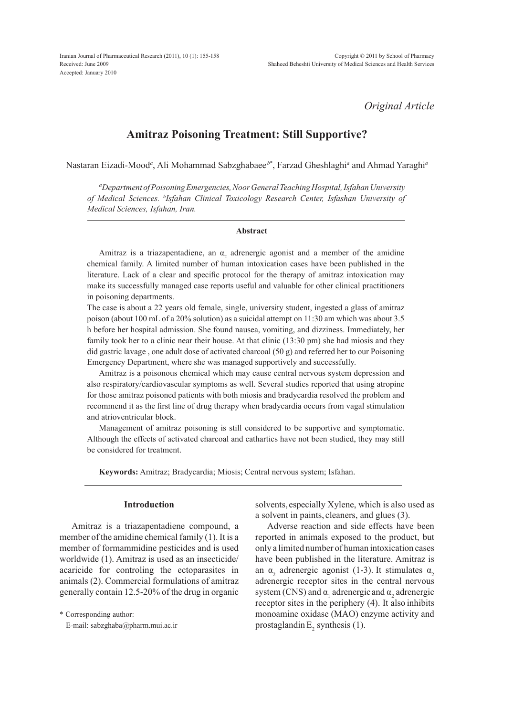Iranian Journal of Pharmaceutical Research (2011), 10 (1): 155-158 Received: June 2009 Accepted: January 2010

*Original Article*

# **Amitraz Poisoning Treatment: Still Supportive?**

Nastaran Eizadi-Mood*<sup>a</sup>* , Ali Mohammad Sabzghabaee *<sup>b</sup>*\* , Farzad Gheshlaghi*<sup>a</sup>* and Ahmad Yaraghi*<sup>a</sup>*

*a Department of Poisoning Emergencies, Noor General Teaching Hospital, Isfahan University of Medical Sciences. b Isfahan Clinical Toxicology Research Center, Isfashan University of Medical Sciences, Isfahan, Iran.*

## **Abstract**

Amitraz is a triazapentadiene, an  $\alpha_2$  adrenergic agonist and a member of the amidine chemical family. A limited number of human intoxication cases have been published in the literature. Lack of a clear and specific protocol for the therapy of amitraz intoxication may make its successfully managed case reports useful and valuable for other clinical practitioners in poisoning departments.

The case is about a 22 years old female, single, university student, ingested a glass of amitraz poison (about 100 mL of a 20% solution) as a suicidal attempt on 11:30 am which was about 3.5 h before her hospital admission. She found nausea, vomiting, and dizziness. Immediately, her family took her to a clinic near their house. At that clinic (13:30 pm) she had miosis and they did gastric lavage , one adult dose of activated charcoal (50 g) and referred her to our Poisoning Emergency Department, where she was managed supportively and successfully.

Amitraz is a poisonous chemical which may cause central nervous system depression and also respiratory/cardiovascular symptoms as well. Several studies reported that using atropine for those amitraz poisoned patients with both miosis and bradycardia resolved the problem and recommend it as the first line of drug therapy when bradycardia occurs from vagal stimulation and atrioventricular block.

Management of amitraz poisoning is still considered to be supportive and symptomatic. Although the effects of activated charcoal and cathartics have not been studied, they may still be considered for treatment.

**Keywords:** Amitraz; Bradycardia; Miosis; Central nervous system; Isfahan.

# **Introduction**

Amitraz is a triazapentadiene compound, a member of the amidine chemical family (1). It is a member of formammidine pesticides and is used worldwide (1). Amitraz is used as an insecticide/ acaricide for controling the ectoparasites in animals (2). Commercial formulations of amitraz generally contain 12.5-20% of the drug in organic

\* Corresponding author:

E-mail: sabzghaba@pharm.mui.ac.ir

solvents, especially Xylene, which is also used as a solvent in paints, cleaners, and glues (3).

Adverse reaction and side effects have been reported in animals exposed to the product, but only a limited number of human intoxication cases have been published in the literature. Amitraz is an  $\alpha_2$  adrenergic agonist (1-3). It stimulates  $\alpha_2$ adrenergic receptor sites in the central nervous system (CNS) and  $\alpha_1$  adrenergic and  $\alpha_2$  adrenergic receptor sites in the periphery (4). It also inhibits monoamine oxidase (MAO) enzyme activity and prostaglandin  $E_2$  synthesis (1).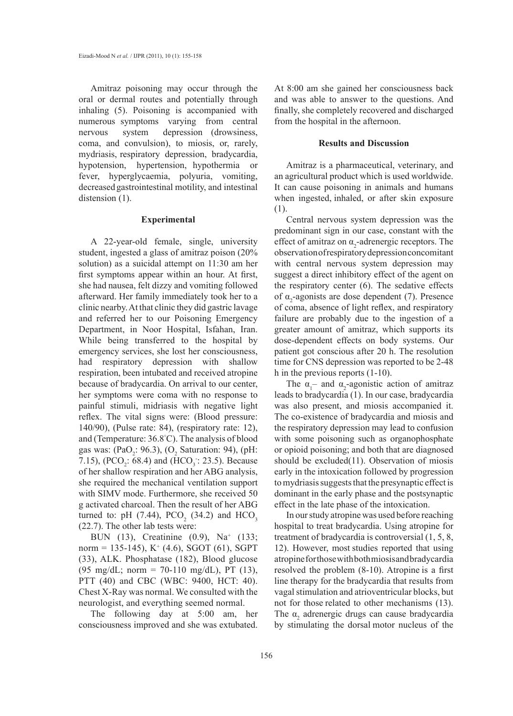Amitraz poisoning may occur through the oral or dermal routes and potentially through inhaling (5). Poisoning is accompanied with numerous symptoms varying from central nervous system depression (drowsiness, coma, and convulsion), to miosis, or, rarely, mydriasis, respiratory depression, bradycardia, hypotension, hypertension, hypothermia or fever, hyperglycaemia, polyuria, vomiting, decreased gastrointestinal motility, and intestinal distension  $(1)$ .

#### **Experimental**

A 22-year-old female, single, university student, ingested a glass of amitraz poison (20% solution) as a suicidal attempt on 11:30 am her first symptoms appear within an hour. At first, she had nausea, felt dizzy and vomiting followed afterward. Her family immediately took her to a clinic nearby. At that clinic they did gastric lavage and referred her to our Poisoning Emergency Department, in Noor Hospital, Isfahan, Iran. While being transferred to the hospital by emergency services, she lost her consciousness, had respiratory depression with shallow respiration, been intubated and received atropine because of bradycardia. On arrival to our center, her symptoms were coma with no response to painful stimuli, midriasis with negative light reflex. The vital signs were: (Blood pressure: 140/90), (Pulse rate: 84), (respiratory rate: 12), and (Temperature: 36.8° C). The analysis of blood gas was:  $(PaO_2: 96.3)$ ,  $(O_2$  Saturation: 94),  $(pH:$ 7.15), (PCO<sub>2</sub>: 68.4) and (HCO<sub>3</sub>: 23.5). Because of her shallow respiration and her ABG analysis, she required the mechanical ventilation support with SIMV mode. Furthermore, she received 50 g activated charcoal. Then the result of her ABG turned to: pH  $(7.44)$ , PCO<sub>2</sub>  $(34.2)$  and HCO<sub>3</sub> (22.7). The other lab tests were:

BUN (13), Creatinine (0.9), Na+ (133; norm = 135-145),  $K^+$  (4.6), SGOT (61), SGPT (33), ALK. Phosphatase (182), Blood glucose  $(95 \text{ mg/dL}; \text{ norm} = 70-110 \text{ mg/dL}), \text{ PT } (13),$ PTT (40) and CBC (WBC: 9400, HCT: 40). Chest X-Ray was normal. We consulted with the neurologist, and everything seemed normal.

The following day at 5:00 am, her consciousness improved and she was extubated.

At 8:00 am she gained her consciousness back and was able to answer to the questions. And finally, she completely recovered and discharged from the hospital in the afternoon.

#### **Results and Discussion**

Amitraz is a pharmaceutical, veterinary, and an agricultural product which is used worldwide. It can cause poisoning in animals and humans when ingested, inhaled, or after skin exposure (1).

Central nervous system depression was the predominant sign in our case, constant with the effect of amitraz on  $\alpha_2$ -adrenergic receptors. The observation of respiratory depression concomitant with central nervous system depression may suggest a direct inhibitory effect of the agent on the respiratory center (6). The sedative effects of  $\alpha_2$ -agonists are dose dependent (7). Presence of coma, absence of light reflex, and respiratory failure are probably due to the ingestion of a greater amount of amitraz, which supports its dose-dependent effects on body systems. Our patient got conscious after 20 h. The resolution time for CNS depression was reported to be 2-48 h in the previous reports (1-10).

The  $\alpha_1$ – and  $\alpha_2$ -agonistic action of amitraz leads to bradycardia (1). In our case, bradycardia was also present, and miosis accompanied it. The co-existence of bradycardia and miosis and the respiratory depression may lead to confusion with some poisoning such as organophosphate or opioid poisoning; and both that are diagnosed should be excluded(11). Observation of miosis early in the intoxication followed by progression to mydriasis suggests that the presynaptic effect is dominant in the early phase and the postsynaptic effect in the late phase of the intoxication.

In our study atropine was used before reaching hospital to treat bradycardia. Using atropine for treatment of bradycardia is controversial (1, 5, 8, 12). However, most studies reported that using atropine for those with both miosisand bradycardia resolved the problem (8-10). Atropine is a first line therapy for the bradycardia that results from vagal stimulation and atrioventricular blocks, but not for those related to other mechanisms (13). The  $\alpha_2$  adrenergic drugs can cause bradycardia by stimulating the dorsal motor nucleus of the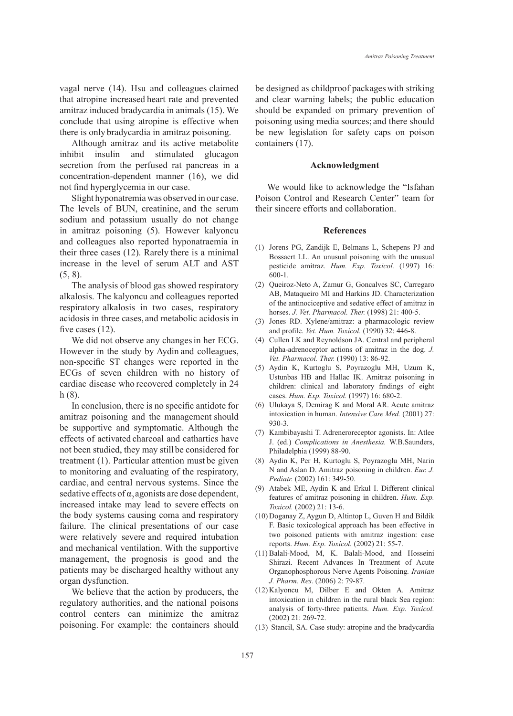vagal nerve (14). Hsu and colleagues claimed that atropine increased heart rate and prevented amitraz induced bradycardia in animals (15). We conclude that using atropine is effective when there is only bradycardia in amitraz poisoning.

Although amitraz and its active metabolite inhibit insulin and stimulated glucagon secretion from the perfused rat pancreas in a concentration-dependent manner (16), we did not find hyperglycemia in our case.

Slight hyponatremia was observed in our case. The levels of BUN, creatinine, and the serum sodium and potassium usually do not change in amitraz poisoning (5). However kalyoncu and colleagues also reported hyponatraemia in their three cases (12). Rarely there is a minimal increase in the level of serum ALT and AST (5, 8).

The analysis of blood gas showed respiratory alkalosis. The kalyoncu and colleagues reported respiratory alkalosis in two cases, respiratory acidosis in three cases, and metabolic acidosis in five cases  $(12)$ .

We did not observe any changes in her ECG. However in the study by Aydin and colleagues, non-specific ST changes were reported in the ECGs of seven children with no history of cardiac disease who recovered completely in 24 h (8).

In conclusion, there is no specific antidote for amitraz poisoning and the management should be supportive and symptomatic. Although the effects of activated charcoal and cathartics have not been studied, they may stillbe considered for treatment (1). Particular attention must be given to monitoring and evaluating of the respiratory, cardiac, and central nervous systems. Since the sedative effects of  $\alpha$ , agonists are dose dependent, increased intake may lead to severe effects on the body systems causing coma and respiratory failure. The clinical presentations of our case were relatively severe and required intubation and mechanical ventilation. With the supportive management, the prognosis is good and the patients may be discharged healthy without any organ dysfunction.

We believe that the action by producers, the regulatory authorities, and the national poisons control centers can minimize the amitraz poisoning. For example: the containers should be designed as childproof packageswith striking and clear warning labels; the public education should be expanded on primary prevention of poisoning using media sources; and there should be new legislation for safety caps on poison containers (17).

#### **Acknowledgment**

We would like to acknowledge the "Isfahan Poison Control and Research Center" team for their sincere efforts and collaboration.

## **References**

- (1) Jorens PG, Zandijk E, Belmans L, Schepens PJ and Bossaert LL. An unusual poisoning with the unusual pesticide amitraz. *Hum. Exp. Toxicol.* (1997) 16: 600-1.
- Queiroz-Neto A, Zamur G, Goncalves SC, Carregaro (2) AB, Mataqueiro MI and Harkins JD. Characterization of the antinociceptive and sedative effect of amitraz in horses. *J. Vet. Pharmacol. Ther.* (1998) 21: 400-5.
- (3) Jones RD. Xylene/amitraz: a pharmacologic review and profile. *Vet. Hum. Toxicol.* (1990) 32: 446-8.
- Cullen LK and Reynoldson JA. Central and peripheral (4) alpha-adrenoceptor actions of amitraz in the dog. *J. Vet. Pharmacol. Ther.* (1990) 13: 86-92.
- Aydin K, Kurtoglu S, Poyrazoglu MH, Uzum K, (5) Ustunbas HB and Hallac IK. Amitraz poisoning in children: clinical and laboratory findings of eight cases. *Hum. Exp. Toxicol.* (1997) 16: 680-2.
- Ulukaya S, Demirag K and Moral AR. Acute amitraz (6) intoxication in human. *Intensive Care Med.* (2001) 27: 930-3.
- (7) Kambibayashi T. Adreneroreceptor agonists. In: Atlee J. (ed.) *Complications in Anesthesia.* W.B.Saunders, Philadelphia (1999) 88-90.
- (8) Aydin K, Per H, Kurtoglu S, Poyrazoglu MH, Narin N and Aslan D. Amitraz poisoning in children. *Eur. J. Pediatr.* (2002) 161: 349-50.
- Atabek ME, Aydin K and Erkul I. Different clinical (9) features of amitraz poisoning in children. *Hum. Exp. Toxicol.* (2002) 21: 13-6.
- (10) Doganay Z, Aygun D, Altintop L, Guven H and Bildik F. Basic toxicological approach has been effective in two poisoned patients with amitraz ingestion: case reports. *Hum. Exp. Toxicol.* (2002) 21: 55-7.
- (11) Balali-Mood, M, K. Balali-Mood, and Hosseini Shirazi. Recent Advances In Treatment of Acute Organophosphorous Nerve Agents Poisoning*. Iranian J. Pharm. Res*. (2006) 2: 79-87.
- $(12)$  Kalyoncu M, Dilber E and Okten A. Amitraz intoxication in children in the rural black Sea region: analysis of forty-three patients. *Hum. Exp. Toxicol.* (2002) 21: 269-72.
- (13) Stancil, SA. Case study: atropine and the bradycardia